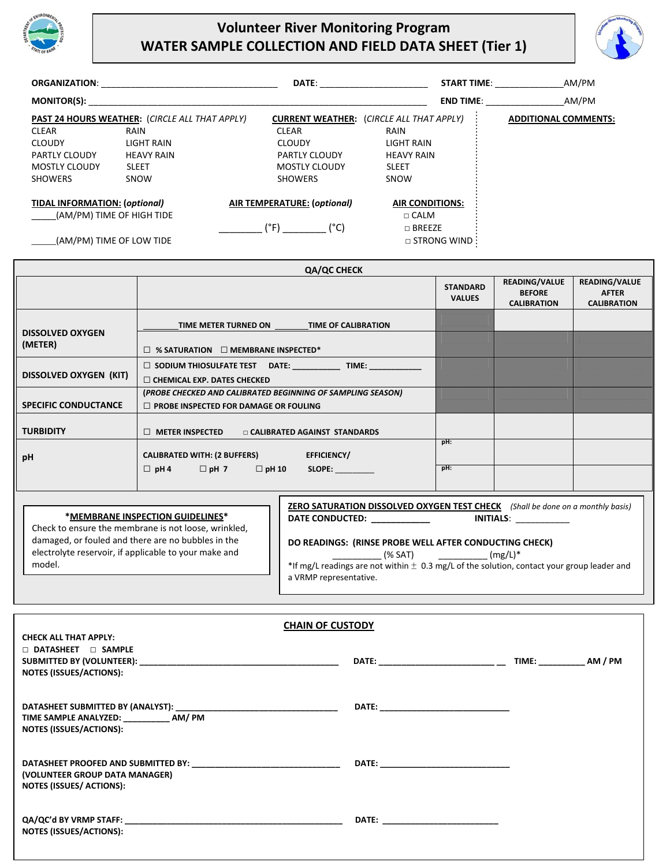

## **Volunteer River Monitoring Program WATER SAMPLE COLLECTION AND FIELD DATA SHEET (Tier 1)**



| <b>ORGANIZATION:</b>                 |                                                       | DATE:                       | <b>START TIME:</b>                              | AM/PM                       |
|--------------------------------------|-------------------------------------------------------|-----------------------------|-------------------------------------------------|-----------------------------|
| <b>MONITOR(S):</b>                   |                                                       |                             | <b>END TIME:</b>                                | AM/PM                       |
|                                      | <b>PAST 24 HOURS WEATHER: (CIRCLE ALL THAT APPLY)</b> |                             | <b>CURRENT WEATHER:</b> (CIRCLE ALL THAT APPLY) | <b>ADDITIONAL COMMENTS:</b> |
| <b>CLEAR</b>                         | RAIN                                                  | <b>CLEAR</b>                | RAIN                                            |                             |
| <b>CLOUDY</b>                        | LIGHT RAIN                                            | <b>CLOUDY</b>               | LIGHT RAIN                                      |                             |
| <b>PARTLY CLOUDY</b>                 | <b>HEAVY RAIN</b>                                     | <b>PARTLY CLOUDY</b>        | <b>HEAVY RAIN</b>                               |                             |
| <b>MOSTLY CLOUDY</b>                 | <b>SLEET</b>                                          | <b>MOSTLY CLOUDY</b>        | <b>SLEET</b>                                    |                             |
| <b>SHOWERS</b>                       | SNOW                                                  | <b>SHOWERS</b>              | SNOW                                            |                             |
| <b>TIDAL INFORMATION: (optional)</b> |                                                       | AIR TEMPERATURE: (optional) | <b>AIR CONDITIONS:</b>                          |                             |
| (AM/PM) TIME OF HIGH TIDE            |                                                       |                             | $\Box$ CALM                                     |                             |
|                                      |                                                       | (°F)<br>(°C)                | $\Box$ BREEZE                                   |                             |
|                                      | (AM/PM) TIME OF LOW TIDE                              |                             | $\Box$ STRONG WIND :                            |                             |

|                                    | QA/QC CHECK                                                                                                 |                                  |                                                             |                                                     |
|------------------------------------|-------------------------------------------------------------------------------------------------------------|----------------------------------|-------------------------------------------------------------|-----------------------------------------------------|
|                                    |                                                                                                             | <b>STANDARD</b><br><b>VALUES</b> | <b>READING/VALUE</b><br><b>BEFORE</b><br><b>CALIBRATION</b> | READING/VALUE<br><b>AFTER</b><br><b>CALIBRATION</b> |
|                                    | TIME METER TURNED ON TIME OF CALIBRATION                                                                    |                                  |                                                             |                                                     |
| <b>DISSOLVED OXYGEN</b><br>(METER) | $\Box$ % SATURATION $\Box$ MEMBRANE INSPECTED*                                                              |                                  |                                                             |                                                     |
| <b>DISSOLVED OXYGEN (KIT)</b>      | SODIUM THIOSULFATE TEST  DATE: _____________ TIME: ____________<br>$\Box$ CHEMICAL EXP. DATES CHECKED       |                                  |                                                             |                                                     |
| <b>SPECIFIC CONDUCTANCE</b>        | (PROBE CHECKED AND CALIBRATED BEGINNING OF SAMPLING SEASON)<br>$\Box$ PROBE INSPECTED FOR DAMAGE OR FOULING |                                  |                                                             |                                                     |
| <b>TURBIDITY</b>                   | $\Box$ METER INSPECTED<br>□ CALIBRATED AGAINST STANDARDS                                                    |                                  |                                                             |                                                     |
| pH                                 | <b>CALIBRATED WITH: (2 BUFFERS)</b><br>EFFICIENCY/                                                          | pH:                              |                                                             |                                                     |
|                                    | $\Box$ pH 4 $\Box$ pH 7<br>$\Box$ pH 10<br>SLOPE:                                                           | pH:                              |                                                             |                                                     |

| *MEMBRANE INSPECTION GUIDELINES*<br>Check to ensure the membrane is not loose, wrinkled,                              | ZERO SATURATION DISSOLVED OXYGEN TEST CHECK<br>(Shall be done on a monthly basis)<br><b>DATE CONDUCTED:</b><br>INITIALS:                                                                                    |
|-----------------------------------------------------------------------------------------------------------------------|-------------------------------------------------------------------------------------------------------------------------------------------------------------------------------------------------------------|
| damaged, or fouled and there are no bubbles in the<br>electrolyte reservoir, if applicable to your make and<br>model. | DO READINGS: (RINSE PROBE WELL AFTER CONDUCTING CHECK)<br>$(mg/L)^*$<br>(% SAT)<br>*If mg/L readings are not within $\pm$ 0.3 mg/L of the solution, contact your group leader and<br>a VRMP representative. |

 $\Gamma$ 

| <b>CHAIN OF CUSTODY</b>                                                                                                                                                                                                                                          |                                                                                                                                                                                                                                |  |
|------------------------------------------------------------------------------------------------------------------------------------------------------------------------------------------------------------------------------------------------------------------|--------------------------------------------------------------------------------------------------------------------------------------------------------------------------------------------------------------------------------|--|
| <b>CHECK ALL THAT APPLY:</b>                                                                                                                                                                                                                                     |                                                                                                                                                                                                                                |  |
| $\Box$ DATASHEET $\Box$ SAMPLE                                                                                                                                                                                                                                   |                                                                                                                                                                                                                                |  |
|                                                                                                                                                                                                                                                                  |                                                                                                                                                                                                                                |  |
| <b>NOTES (ISSUES/ACTIONS):</b>                                                                                                                                                                                                                                   |                                                                                                                                                                                                                                |  |
| TIME SAMPLE ANALYZED: ___________ AM/ PM<br><b>NOTES (ISSUES/ACTIONS):</b>                                                                                                                                                                                       |                                                                                                                                                                                                                                |  |
| (VOLUNTEER GROUP DATA MANAGER)<br><b>NOTES (ISSUES/ ACTIONS):</b>                                                                                                                                                                                                |                                                                                                                                                                                                                                |  |
| QA/QC'd BY VRMP STAFF: North State of the State of the State of the State of the State of the State of the State of the State of the State of the State of the State of the State of the State of the State of the State of th<br><b>NOTES (ISSUES/ACTIONS):</b> | DATE: the contract of the contract of the contract of the contract of the contract of the contract of the contract of the contract of the contract of the contract of the contract of the contract of the contract of the cont |  |